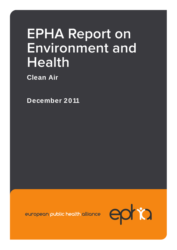# **EPHA Report on Environment and Health**

**Clean Air** 

**December 2011** 

european public health alliance

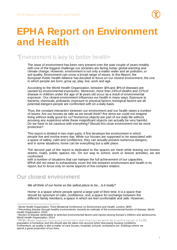

## **EPHA Report on Environment and Health**

## "Environment is key to better health<sub>"</sub>

The issue of environment has been very present over the past couple of years notably with one of the biggest challenge our societies are facing today: global warming and climate change. However, environment is not only a matter water and air pollution, or soil quality. Environment can cover a broad range of issues. In this Report, the European Public Health Alliance has decided to focus on our closest environment, the one in which people are born, grow up, play, live, work and age.

According to the World Health Organization, between 14% and 19% of diseases are caused by environmental exposures.<sup>2</sup> Moreover, more than 24% of deaths and 22% of disease in children under the age of 14 years old occur as a result of environmental exposure.<sup>3</sup> Our closest environment influences our health in many ways. Exposure to bacteria, chemicals, pollutants, exposure to physical factors, biological factors are all potential dangers people are confronted with on a daily basis.

Thus, the constant interaction between our environment and our health raises a number of issues. Are our houses as safe as we would think? Are items we could not imagine living without really good for us? Numerous objects are part of our daily life without arousing any suspicions while these insignificant objects can actually be very harmful. Do we have to be cautious with everything? Should this close environment not be more protective?

This report is divided in two main parts. It first develops the environment in which people live and evolve every day. While our houses are supposed to be associated with a space of safety, calm and confidence, they can actually present numerous dangers, and in some situations, home can be everything but a safe place.

The second part of the report is dedicated to the spaces we meet while leaving our homes: streets, roads, public spaces, etc. On our way to school, work or leisure activities, we are confronted

with a number of situations that can hamper the full achievement of our capacities. EPHA did not mean to exhaustively cover the link between environment and health in its report, but to focus only on some aspects of this complex relation.

## Our closest environment

We all think of our home as the safest place to be... is it really?

Home<sup>4</sup> is a space where people spend a large part of their time. It is a space that should be synonym of calm, confidence, rest, a space for exchange between the different family members, a space in which we feel comfortable and safe. However,

 $\overline{a}$ <sup>1</sup> World Health Organization, Third Ministerial Conference on Environment and Health, London, 1999

<sup>2</sup> Preventing disease through healthy environments: towards an estimate of the environmental burden of disease, World Health Organization, 2006

<sup>3</sup> Burden of disease attributable to selected environmental factors and injuries among Europe's children and adolescents, World Health Organization, 2004

<sup>4</sup> population is homeless, and this should also be taken into account when discussing housing conditions. Furthermore, air quality is also a matter of care houses, hospitals, schools, workplaces etc. buildings where we spend a great proportion of our lives.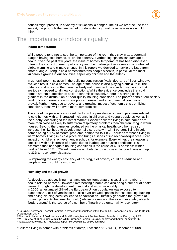

houses might present, in a variety of situations, a danger. The air we breathe, the food we eat, the products that are part of our daily life might not be as safe as we would think.

## The importance of indoor air quality

#### **Indoor temperature**

While people tend not to see the temperature of the room they stay in as a potential danger, having cold homes, or, on the contrary, overheating spaces can damage our health. Over the past few years, the issue of homes' temperature has been discussed, often in the context of energy efficiency and the challenge it represents in a context of global warming and climate change. In this report, we decided to tackle the issue from another angle. Living in cold homes threatens people's health, in particular the most vulnerable groups in our societies, especially children and the elderly.

In general, poor insulation in the building construction (walls, doors, roof, floor, windows etc.) can result in cold homes. The age of the house is also playing a crucial role. The older a construction is, the more it is likely not to respect the standardised norms that are today imposed to all new constructions. While the evidence concludes that cold homes are not a question of socio-economic status only,<sup>s</sup> there is a strong social gradient in the distribution of poor quality housing conditions. The poorer parts of our society tend to live in poorer areas where poorer housing and environmental conditions prevail. Furthermore, due to poverty and growing impact of economic crisis on living conditions, these will be even more compromised.

The age of the person is also a risk factor in the prevalence of health problems related to cold homes, with an increased incidence in children and young people as well as in the elderly. According to the latest Marmot Review, $\mathfrak s$  children living in cold homes are more than twice as likely to suffer from respiratory problems than children living in warm houses. Beyond the damages produced on the physical health, cold homes also increase the likelihood to develop mental disorders, with 1 in 4 persons living in cold homes being at risk of mental problems, compared to 1 in 20 persons for those living in warm homes. Living in a cold place also brings a series of indirect consequences. It can impact on children's achievement in schools for example. Every winter, the situation is amplified with an increase of deaths due to inadequate housing conditions. It is estimated that inadequate housing conditions is the cause of 40% of excess winter deaths.<sup>7</sup> From 50% to 70% of them are attributable to cardiovascular conditions and up to 33% to respiratory diseases. $8$ 

By improving the energy efficiency of housing, fuel poverty could be reduced and people's health could be improved.

## **Humidity and mould growth**

As developed above, living in an ambient low temperature is causing a number of health-related hazards. However, overheating a home can also bring a number of health issues, through the development of mould and moisture notably. In 2007, an estimated 18% of the European Union population was exposed to dampness.<sup>9</sup> A lack of ventilation but also over-crowed spaces, intense cooking, bathing and drying clothing activities lead to condensation. Humidity generates the growth of organic pollutants (bacteria, fungi etc.) whose presence in the air and everyday objects (beds, carpets) is the source of a number of health problems, mainly respiratory

 $\overline{a}$ <sup>5</sup> Housing, Energy and Thermal Comfort - a review of 10 countries within the WHO European Region », World Health Organization, 2007

<sup>6</sup> The Health Impacts of Cold Homes and Fuel Poverty, Marmot Review Team, Friends of the Earth, May 2011

<sup>7</sup> WHO review of 10 countries within the WHO European Region Housing, energy and thermal comfort 2007

<sup>8</sup> http://www.euro.who.int/\_\_data/assets/pdf\_file/0017/145511/e95004sum.pdf

<sup>9</sup> Children living in homes with problems of damp, Fact sheet 3.5, WHO, December 2009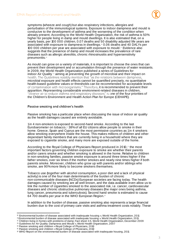

symptoms (wheeze and cough) but also respiratory infections, allergies and perturbation of the immunological systems. Exposure to indoor dampness and mould is conducive to the development of asthma and the worsening of the condition when already present. According to the World Health Organization, the risk of asthma is 50% higher for people living in damp and mould dwellings. It is also estimated that, on a yearly basis, per 100 000 children, 0.07 deaths and 50 disability adjusted life years are associated with exposure to dampness in dwellings.10 0.06 deaths and 40 DALYs per 100 000 children per year are associated with exposure to mould.<sup>11</sup> Evidence also suggests that the presence of damp and mould increases the prevalence of rare diseases such as allergic alveolitis, chronic rhinosinusitis and hypersensitivity pneumonitis.<sup>12</sup>

As mould can grow on a variety of materials, it is important to choose the ones that can prevent their development and or accumulation through the presence of water resistants. In 2009, the World Health Organization published a series of Guidelines for indoor Air Quality <sup>13</sup> aiming at preventing the growth of microbial and their impact on health. The Guidelines notably mention that "as the relations between dampness, microbial exposure and health effects cannot be quantified precisely, no quantitative health-based guideline values or thresholds can be recommended for acceptable levels of contamination with microorganisms." Therefore, it is recommended to prevent their apparition. Representing considerable environment-related diseases in children, "cleaner air to reduce asthma and respiratory diseases" is one of the four priorities of the Children's Environment and Health Action Plan for Europe (CEHAPE).

## Passive smoking and children's health

Passive smoking has a particular place when discussing the issue of indoor air quality as the health damages caused are entirely avoidable.

1 in 4 non-smokers is exposed to second-hand smoke. According to the last Eurobarometer on tobacco, $438\%$  of all EU citizens allow people to smoke in their home. Greece, Spain and Cyprus are the most permissive countries as 1 in 4 smokers allow smoking everywhere inside the house. This makes millions of children and other dependant family members that are currently living in a household where they are exposed to cigarette smoke, and many more are exposed outside of the home.

According to the Royal College of Physicians Report produced in 2010,<sup>15</sup> the most important factors governing children exposure to smoke are whether their parents and/or carers smoke and whether smoking is allowed in the home. Relative to children in non-smoking families, passive smoke exposure is around three times higher if the father smokes, over six times if the mother smokes and nearly nine times higher if both parents smoke. Moreover, children who grow up with parents and/or siblings who smoke, are 90% more likely to become smokers themselves.

Tobacco use (together with alcohol consumption, a poor diet and a lack of physical activity) is one of the four main determinants of the burden of chronic non-communicable diseases (NCDs) European societies are facing today. The health damages caused by smoking are all well known, and the data available even allow us to link the number of cigarettes smoked to the associated risk, i.e. cancer, cardiovascular diseases and chronic obstructive pulmonary diseases (the major ones being asthma, lung cancer, pneumonia and tuberculosis). Second hand smoke is estimated to cause 64 700 deaths per year in the WHO European Region.<sup>16</sup>

In addition to the burden of disease, passive smoking also represents a large financial burden due to the cost of primary care visits and asthma treatment costs notably. These

 $\overline{a}$  $\textdegree$  Environmental burden of disease associated with inadequate housing », World Health Organization, 2011

<sup>11</sup> Environmental burden of disease associated with inadequate housing », World Health Organization, 2011

 $2^{\circ}$  Children living in homes with problems of damp; Fact sheet 3.5, World Health Organization, December 2009

<sup>13</sup> Guidelines for Air Quality: Dampness and Mould », World Health Organization, 2007

<sup>14</sup> Passive smoking and children » Royal College of Physicians, 2010

<sup>15</sup> Passive smoking and children » Royal College of Physicians, 2010

<sup>16</sup> WHO Report on the environmental burden of disease associated with inadequate housing, 2011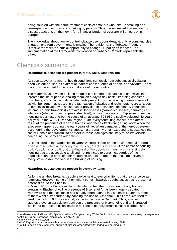

being coupled with the future treatment costs of smokers who take up smoking as a consequence of exposure to smoking by parents. Thus, it is estimated that respiratory diseases account, on their own, for a financial burden of over 100 billion euros $\frac{1}{1}$  in Europe.

The knowledge about how to control tobacco use is considerable, only actions and clear engagement from governments is missing. The revision of the Tobacco Products Directive represents a crucial opportunity to change EU policy on tobacco. The implementation of the Framework Convention on Tobacco Control<sup>18</sup> represents the other.

## Chemicals surround us

**Hazardous substances are present in roofs, walls, windows, etc.** 

As seen above, a number of health conditions can result from substances circulating openly in our houses, as a direct or indirect consequence of people's behaviours. These risks must be added to the ones that are out of our control.

The materials used when building a house can content pollutants and chemicals that threaten the life of people inhaling them, on a day to day basis. Breathing asbestos dust, being in contact with dioxin elements present in some painting materials, as well as with benzene that is used in the fabrication of plastics and resin notably, are all types of events associated with an increased prevalence of cancers, respiratory infections (asthma, chronic bronchitis), cardiovascular diseases (coronary diseases), neurological infections (when exposed to pesticides, lead), kidney diseases, etc. Exposure to lead in housing is estimated to be the cause of an average 694 980 disability adjusted life years per year, in the WHO European Region.19 One every tenth lung cancer is the direct result of the presence of radon in homes<sup>20</sup> and these effects are getting worst when the exposure happens during the early years of life. When damages of the nervous system occur during the development stage, i.e. a pregnant woman exposed to substances that she will inhale and transmit to her foetus, these damages are likely to be irreversible, hampering the baby's development.

As concluded in the World Health Organization's Report on the environmental burden of disease associated with inadequate housing, "health should be at the centre of housing policy". Building or putting at the disposal of the population healthy and sustainable housing that are accessible to all and not restricted to certain categories of the population, on the basis of their resources, should be one of the main objectives of every stakeholder involved in the building of housing.

#### **Hazardous substances are present in everyday items**

As for the air they breathe, people evolve next to everyday items that they perceive as harmless. However, some of them might contain hazardous substances that represent a potential risk to their health.

In March 2011, the European Union decided to ban the production of baby bottles containing Bisphenol A. The presence of Bisphenol A has been largely debated worldwide and the substance had already been banned in a series of countries. Some of them went a step further, by banning the use of Bisphenol A in all products used to feed infants from 0 to 3 years old, as it was the case in Denmark. Thus, a series of studies prove an association between the presence of bisphenol A and an increased likelihood to develop diseases such as cancer (notably breast cancer), diabetes and

 $\overline{a}$  $\pi$  Loddenkemper R, Gibson GJ, Sybille Y, editors. European Lung White Book, the first comprehensive survey on respiratory health in Europe, European Respiratory Society, 2003

<sup>18</sup> http://www.who.int/fctc/en/

<sup>19</sup> WHO Report on environmental burden of disease associated with inadequate housing, 2011

<sup>&</sup>lt;sup>20</sup> WHO Report on environmental burden of disease associated with inadequate housing, 2011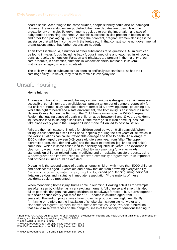

heart disease. According to the same studies, people's fertility could also be damaged. However, the more studies are published, the more debates are open. Using the precautionary principle, EU governments decided to ban the importation and sale of baby bottles containing Bisphenol A. But this substance is also present in bottles, cans and other food packaging. By consuming their content, pregnant women also ingest the substance that will be in contact with the foetus etc. In that context, some nongovernmental organizations argue that further actions are needed.

Apart from Bisphenol A, a number of other substances raise questions. Aluminium can be found in water, foods (including baby foods), in medicine and vaccines, in windows, pens, aerosols, dish tops etc. Paraben and phtalates are present in the majority of our care products, in cosmetics, ammonia in window cleaners, methanol in several fruit juices, vinegar, wine and spirits etc

The toxicity of these substances has been scientifically substantiated, as has their carcinogenicity. However, they tend to remain in everyday use.

## Unsafe housing

#### **Home injuries**

A house and how it is organised, the way certain furniture is designed, certain areas are accessible, certain items are available, can present a number of dangers, especially for our children. Home injury can take different forms: falls, drowning, burns, poisoning etc. While the right to health and a safe environment, free from injury is enshrined in United Nations Convention on the Rights of the Child, home injury is, in the WHO European Region, the leading cause of death in children aged between 5 and 19 years old. Home injuries also lead to lifelong disabilities. Of the average 10 million home injuries that take place every year in the European Union,<sup>21</sup> one million led to hospitalisation.

Falls are the main cause of injuries for children aged between 0-15 years old. When falling, a child tends to first hit their head, especially during the first years of life, which in the worst situations can cause irrevocable damage and lead to death. An average of 1500 children aged between 0-19 years old die every year from falls.22 The upper extremities (arm, shoulder and wrist) and the lower extremities (leg, knees and ankle) come next, which in some cases lead to disability adjusted life years. The evidence is clear on how such drama could be avoided. By implementing "universal safety standards on children-related items, modifying and or replacing unsafe products, using window quards and implementing multifaceted community programmes,"<sup>23</sup> an important part of these injuries could be avoided.

Drowning is the second cause of deaths amongst children with more than 5000 children and adolescents aged 19 years old and below that die from drowning every year. By "removing or covering water hazard, installing four-sided pool fencing, using personal flotation devices and instituting immediate resuscitation," $24$  the majority of these accidents could be prevented.

When mentioning home injury, burns come in our mind. Cooking activities for example, are often seen by children as a very exciting moment, full of noise and smell. It is also full of potential dangers that young children do not always foresee. Thus, burns together with scalds cause every year more than 1700 deaths in children aged from 0-19 years old. Prevention programmes have proven to produce meaningful results. By enforcing or reinforcing the installation of smoke alarms, regulate hot water and standards for cigarette lighters, many of these dramas could be avoided".<sup>25</sup> Activities that aim to raise awareness on the dangerousness of the variety of situations leading to

<sup>22</sup> In the WHO European Region

 $\overline{a}$  $^{21}$  Bonnefoy XR, Aznar, LM, Braubach M et al. Review of evidence on housing and health. Fourth Ministerial Conference on Housing and Health. Budapest, Hungary, WHO, 2004

<sup>23</sup> WHO European Report on Child Injury Prevention, 2008

<sup>24</sup> WHO European Report on Child Injury Prevention, 2008

<sup>25</sup> WHO European Report on Child Injury Prevention, 2008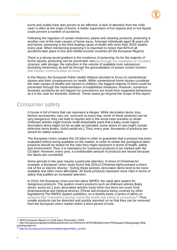

burns and scalds have also proven to be effective. A lack of attention from the child carer is often at the origin of burns. A better supervision of hot objects and or hot liquids could prevent a number of accidents.

Following the ingestion of certain medicines, plants and cleaning products, poisoning is another one of the main causes of home injury. Amongst individuals aged 19 years old and below, poisoning is the third leading cause of death with more than 3000 deaths every year. When mentioning poisoning it is important to notice that 90% of all accidents take place in low and middle-income countries (of the European Region).

There is a strong social gradient in the incidence of poisoning. As for the majority of home injuries, poisoning can be prevented, notably through the installation of "resistant closures, safe storage, the reduction in the volume of available toxic substances (including medicines), as well as through the generalisation of poison control centres and a better communication on these".<sup>26</sup>

In this Report, the European Public Health Alliance decided to focus on unintentional injuries and their consequences on health. While unintentional home injuries constitute the main causes of deaths and injuries in children, the biggest majority of them could be prevented through the implementation of established measures. However, numerous domestic accidents do not happen by coincidence but result from organised behaviours as it is the case for domestic violence. These issues go beyond the scope of this report.

## Consumer safety

A house is full of items that can represent a danger. While decoration items, toys, kitchen accessories, cars, etc. surround us every day, some of these products can be very dangerous, they can lead to injuries and in the worst-case scenario to death. Childcare articles might include small detachable parts that a baby could ingest, decoration items might not be as safe as indicated, some series of cars might contain defective items (brake, clutch pedal etc.). Thus, every year, thousands of products are seized for safety reasons.

The European Union created the CE label in order to guarantee that a product has been evaluated before being available on the market. In order to obtain the prestigious label, products should be tested for the risks they might represent in terms of health, safety and environment. Thus, it is mandatory for numerous products to be marked with the CE label. However, every year, a considerable amount of products are seized because the labels are counterfeit.

Some periods in the year require a particular attention. In times of Christmas for example, a European Union study found that 30% of Christmas lights present a direct risk of fire or electric shocks.<sup>27</sup> During these periods, decoration items tend to be more available and often more affordable. All these products represent more risks in terms of safety that justifies an increased attention.

In 2004, the European Union put into place RAPEX, the rapid alert system for dangerous products. The system covers products such as childcare articles (baby shoes, socks etc.), toys, decorative articles, body lotion but does not cover food, pharmaceutical and medical devices. (These last products being covered by other legislations) The RAPEX System publishes, on a weekly basis, a series of alerts on . <sup>28</sup> Thus, unsafe products can be detected and quickly reported on so that they can be removed from the European Union market within a short period of time.

 $\overline{a}$ <sup>26</sup> WHO European Report on Child Injury Prevention, 2008

<sup>27</sup> http://europa.eu/rapid/pressReleasesAction.do?reference=IP/09/1864&format=HTML&aged=0&language=EN& guiLanguage=en

<sup>28</sup> http://ec.europa.eu/consumers/safety/rapex/index\_en.htm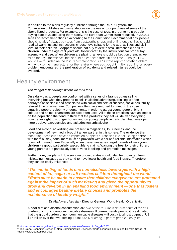

In addition to the alerts regularly published through the RAPEX System, the Commission publishes recommendations on the use and/or purchase of some of the above listed products. For example, this is the case of toys. In order to help people buying safe toys and using them safely, the European Commission released, in 2010, a series of recommendations.<sup>39</sup> According to the Commission Recommendations, people should notably "always buy toys from trustworthy shops and online outlets, they should read all warnings and instructions, choose toys suitable for the age, abilities and skill level of their children. Shoppers should not buy toys with small detachable parts for children under the age of 3 years old, follow carefully the instructions for proper toy assembly and use. When children are playing, an eye should be kept on them, as well as on the toys themselves that should be checked from time to time". Finally, EPHA would like to underline the last Recommendation, i.e "Always report a safety problem with a toy to the manufacturer or the retailer where you bought it". By reporting on every problem encountered, the proliferation of accidents and related injuries could be avoided.

## Healthy environment

The danger is not always where we look for it.

On a daily basis, people are confronted with a series of vibrant slogans selling everything but what they pretend to sell. In alcohol advertising, drinking is often portrayed as sociable and associated with social and sexual success, social desirability, relaxed time or adventure. Companies often have resorted to humour, they use attractive people, celebrity endorsements. In order to attract young people, bright colours and animal characters are also often used. All of these practices have an impact on the population that tend to think that the products they eat will deliver everything, from better sight to stronger bones, and on young people in particular, that develops more positive expectancies and attitudes towards alcohol.

Food and alcohol advertising are present in magazines, TV, cinemas, and the development of new media brought a new partner in this sphere. The evidence that marketing techniques have an impact on people's purchasing is clear. Being confronted with them all day, consumers must be provided with clear and reliable information which does not mislead them. Especially when these messages target parents of very young children - a group particularly susceptible to claims. Wanting the best for their children, young parents are particularly receptive to labelling and promotion messages.

Furthermore, people with low socio-economic status should also be protected from misleading messages as they tend to have lower health and food literacy. Therefore they can be easily influenced.

*"The marketing of foods and non-alcoholic beverages with a high* **content of fat, sugar or salt reaches children throughout the world. Efforts must be made to ensure that children everywhere are protected against the impact of such marketing and given the opportunity to**  grow and develop in an enabling food environment – one that fosters **and encourages healthy dietary choices and promotes the maintenance of healthy** 

#### Dr Ala Alwan, Assistant Director General, World Health Organization

A poor diet and alcohol consumption are two of the four main determinants of today's burden of chronic non-communicable diseases. If current trends persist, it is estimated that the global burden of non-communicable diseases will cost a total lost output of US \$47 trillion over the two coming decades.<sup>30</sup> Marketing is part of people's daily life,

 $\overline{a}$ <sup>29</sup> http://ec.europa.eu/dgs/health\_consumer/dyna/enews/enews.cfm?al\_id=1087

<sup>30</sup> The Global Economic Burden of Non-Communicable Diseases, World Economic Forum and Harvard School of Public Health, September 2011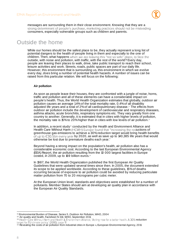

messages are surrounding them in their close environment. Knowing that they are a strong determinant of people's purchase, marketing practices should not be misleading consumers, especially vulnerable groups such as children and parents.

## Outside the home

While our homes should be the safest place to be, they actually represent a long list of potential dangers to the health of people living in them and especially to the one of children. Then, what happens when we are leaving this "not so safe" place, to face the outside, with noise and pollution, with traffic, with the rest of the world? Every day, people are leaving their places to walk, drive, take public transport to reach their school, leisure activities and work. Streets, roads, public spaces are part of our daily life. However, this environment that is surrounding us, this environment in which we evolve every day, does bring a number of potential health hazards. A number of issues can be raised from this particular relation. We will focus on the following:

## **Air pollution**

As soon as people leave their houses, they are confronted with a jungle of noise, horns, traffic and pollution and all of these elements can have a considerable impact on people's health. Thus, the World Health Organization estimates that globally, outdoor air pollution causes an average 1.4% of the total mortality rate, 0.4% of all disability adjusted life years and a total of 2% of all cardiopulmonary disease.31 The effects from outdoor air pollution include the development of cardiovascular and respiratory diseases, asthma attacks, acute bronchitis, respiratory symptoms etc. They vary greatly from one country to another. Generally, it is estimated that in cities with higher levels of pollution, the mortality rate is 15% to 20% higher than in cities with low levels of air pollution.<sup>32</sup>

In addition, a recent study<sup>33</sup> conducted by the Health and Environment Alliance and Health Care Without Harm (HCWH) Europe found that "increasing the reductions of greenhouse gas emissions to achieve a 30% reduction target would bring health benefits of up to  $\epsilon$ 30.5bn every year by 2020, as well as save up to 140,385 life years that would otherwise be lost due to premature deaths each year.

Beyond having a strong impact on the population's health, air pollution also has a considerable economic cost. According to the last European Environmental Agency (EEA) Report, the air pollution resulting from the 10 000 largest facilities in Europe costed, in 2009, up to 169 billion euros.<sup>34</sup>

In 1987, the World Health Organization published the first European Air Quality Guidelines that were updated several times since then. In 2005, the document extended its scope to be applied worldwide. According to these guidelines, 15% of deaths occurring because of exposure to air pollution could be avoided by reducing particulate matter pollution from 70 to 20 micrograms per cubic meter.

At the European Union level, standards and objectives were established for a number of pollutants. Member States should aim at developing air quality plan in accordance with the European Air Quality Standards.

 $\overline{a}$ <sup>31</sup> Environmental Burden of Disease, Series 5, Outdoor Air Pollution, WHO, 2004

<sup>32</sup> Air quality and health, Factsheet N 313, WHO, September 2011

<sup>33</sup> Health Care Without Harm and Health & Environment Alliance, 'Acting now for a better health. A 30% reduction<br>target for EU climate policy.' (2010); page 11

<sup>34</sup> Revealing the costs of air pollution from industrial cities in Europe », European Environmental Agency, 2011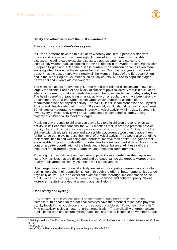

#### **Safety and attractiveness of the built environment**

Playgrounds and children's development

In Europe, patterns have led to a situation whereby one in four people suffer from obesity and one in two from overweight. In parallel, chronic non-communicable diseases, including cardiovascular diseases, diabetes type II and cancer are increasingly widespread, accounting for 86% of deaths in the World Health Organization European Region and  $77\%$  of the disease burden.<sup>35</sup> The situation becomes even more worrying when looking at these figures for children. Over the past years, childhood obesity has increased rapidly in virtually all the Member States of the European Union and in the wider Region. Countries such as Italy counts 35.9% of its population aged between 8 and 9 years old overweight.<sup>36</sup>

The main risk factors for overweight, obesity and diet-related diseases are known and largely modifiable. Poor diet and a lack of sufficient physical activity result in a situation whereby the energy intake exceeds the amount being expended in our day-to-day lives. The health benefits of practicing physical activity on a regular basis have been strongly documented. In 2011, the World Health Organization published a series of recommendations on physical activity. The WHO Global Recommendations on Physical Activity and Health state that from 5 to 18 years old, a child should be practicing at least 60 minutes of moderate to vigorous intensity physical activity within a day. Beyond this level, every physical activity will provide additional health benefits. Today, a large majority of children fail to meet this target.

Providing playgrounds to children can play a key role in children's level of physical activity. In its Recommendations, the WHO mentions that, in order to promote physical activity, "local policy makers should provide play facilities for children". Thus, providing children with clean, safe, secure and accessible playgrounds would encourage them further to go out, play, increase their level of physical activity. This would also benefit to their mental health and wellbeing and therefore improve their health. The games that are available on playgrounds offer opportunities to learn important skills such as muscle control, a better coordination of the body and a better balance. All these skills are important for children's physical, cognitive and emotional development.

Providing children with safe and secure equipment is as important as the playground itself. Play facilities that are dilapidated and outdated can be dangerous. Moreover, the quality of playgrounds clearly influences their attractiveness.

Urban organisation and physical activity are linked. Local policy makers have a role to play in improving their population's health through the offer of better opportunities to be physically active. This is an excellent example of the thorough implementation of the hensive and coherent policy making. Moreover, habits integrated at a young age last lifelong.

#### **Road safety and cycling**

"Environmental policies that impact on the mode of transport people use or that increase public space for recreational activities have the potential to increase physical 37 Physical activity is also a matter of urban organisation. The availability of green spaces, public parks, safe and secure cycling paths etc. has a clear influence on whether people

 $\overline{a}$ 

<sup>&</sup>lt;sup>35</sup> Gaining Health – The European Strategy for Prevention and Control of Non-communicable diseases, WHO, June 2006

<sup>36</sup> IASO, 2008

<sup>37</sup> WHO Global Recommendations on Physical Activity and Health, 2011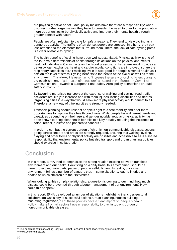

are physically active or not. Local policy makers have therefore a responsibility: when discussing urban organisation, they have to consider the need to offer to the population more opportunities to be physically active and improve their mental health through greater contact with nature.

People are often reluctant to cycle for safety reasons. They tend to view cycling as a dangerous activity. The traffic is often dense, people are stressed, in a hurry, they pay less attention to the elements that surround them. There, the lack of safe cycling paths is a clear obstacle to cycling.

The health benefits of cycling have been well substantiated. Physical activity is one of the four main determinants of health through its actions on the physical and mental health of individuals. Cycling acts on the blood pressure, on hypertension, it provides a better oxygen exchange, heart and cardiovascular conditions are improved, so are the respiratory capacities etc.<sup>38</sup> Practicing cycle is also good for people's mental health as it acts on the level of stress. Cycling benefits to the health of the cycler as well as to the environment. Therefore, it is essential to "increase the safety of cycling by encouraging the establishment of adequate infrastructure" as stated in the European Commission Communication: Towards a European Road Safety Area: policy orientations on road safety 2011-2020."

By favouring motorised transport at the expense of walking and cycling, road traffic accidents are likely to increase and with them injuries, lasting disabilities and deaths. Organising cities in a way that would allow more physical activity would benefit to all. Therefore, a new way of thinking cities is strongly needed.

Transport planning should respect people's right to a safe mobility and offer them opportunities to improve their health conditions. While people have different needs and capacities depending on their age and gender notably, regular physical activity has been shown to bring clear health benefits to all, by notably reducing the incidence of colon, breast, prostate and pancreatic cancers.<sup>39</sup>

In order to combat the current burden of chronic non-communicable diseases, actions going across sectors and areas are strongly required. Ensuring that walking, cycling, playing and other forms of physical activity are possible and accessible to all is a shared responsibility that environmental policy but also transport and urban planning policies should exercise in collaboration.

## **Conclusion**

In this report, EPHA tried to emphasise the strong relation existing between our close environment and our health. Coexisting on a daily basis, this environment should be more protective, more participative of people self-fulfilment. In reality, our close environment brings a number of dangers that, in some situations, lead to injuries and deaths of which children are the first victims.

When looking at this complex relationship, a question is coming to our mind: how much disease could be prevented through a better management of our environment? How could this happen?

In this report, EPHA developed a number of situations highlighting that cross-sectoral collaboration was a key to successful actions. Urban planning, houses building, marketing regulations, all of these policies have a clear impact on people's health. Policy makers from all sectors have a responsibility to play in today's burden of non-communicable diseases.

 $\overline{a}$  $38$  The health benefits of cycling, Bicycle Helmet Research Foundation, www.cyclehelmets.org 39 www.cyclehelmets.org